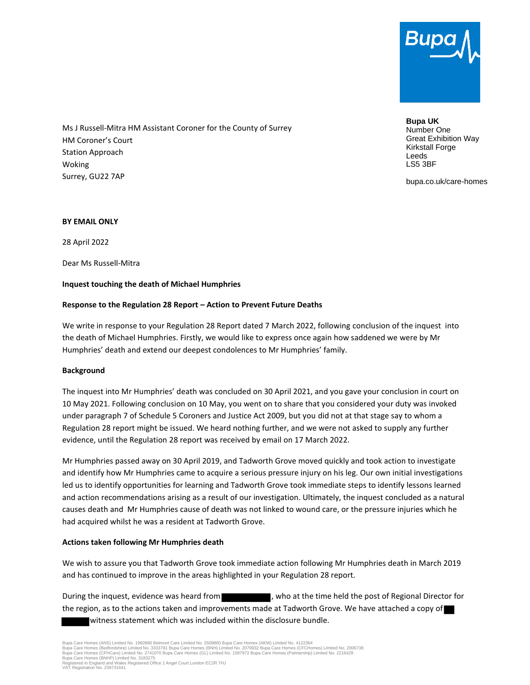

Ms J Russell-Mitra HM Assistant Coroner for the County of Surrey HM Coroner's Court Station Approach Woking Surrey, GU22 7AP

**Bupa UK** Number One Great Exhibition Way Kirkstall Forge Leeds LS5 3BF

bupa.co.uk/care-homes

### **BY EMAIL ONLY**

28 April 2022

Dear Ms Russell-Mitra

### **Inquest touching the death of Michael Humphries**

# **Response to the Regulation 28 Report – Action to Prevent Future Deaths**

We write in response to your Regulation 28 Report dated 7 March 2022, following conclusion of the inquest into the death of Michael Humphries. Firstly, we would like to express once again how saddened we were by Mr Humphries' death and extend our deepest condolences to Mr Humphries' family.

#### **Background**

The inquest into Mr Humphries' death was concluded on 30 April 2021, and you gave your conclusion in court on 10 May 2021. Following conclusion on 10 May, you went on to share that you considered your duty was invoked under paragraph 7 of Schedule 5 Coroners and Justice Act 2009, but you did not at that stage say to whom a Regulation 28 report might be issued. We heard nothing further, and we were not asked to supply any further evidence, until the Regulation 28 report was received by email on 17 March 2022.

Mr Humphries passed away on 30 April 2019, and Tadworth Grove moved quickly and took action to investigate and identify how Mr Humphries came to acquire a serious pressure injury on his leg. Our own initial investigations led us to identify opportunities for learning and Tadworth Grove took immediate steps to identify lessons learned and action recommendations arising as a result of our investigation. Ultimately, the inquest concluded as a natural causes death and Mr Humphries cause of death was not linked to wound care, or the pressure injuries which he had acquired whilst he was a resident at Tadworth Grove.

# **Actions taken following Mr Humphries death**

We wish to assure you that Tadworth Grove took immediate action following Mr Humphries death in March 2019 and has continued to improve in the areas highlighted in your Regulation 28 report.

During the inquest, evidence was heard from , who at the time held the post of Regional Director for the region, as to the actions taken and improvements made at Tadworth Grove. We have attached a copy of witness statement which was included within the disclosure bundle.

Bupa Care Homes (ANS) Limited No. 1960990 Belmont Care Limited No. 2509860 Bupa Care Homes (AKW) Limited No. 4122364<br>Bupa Care Homes (Bedfordshire) Limited No. 3333791 Bupa Care Homes (BNH) Limited No. 2079932 Bupa Care Ho VAT Registration No. 239731641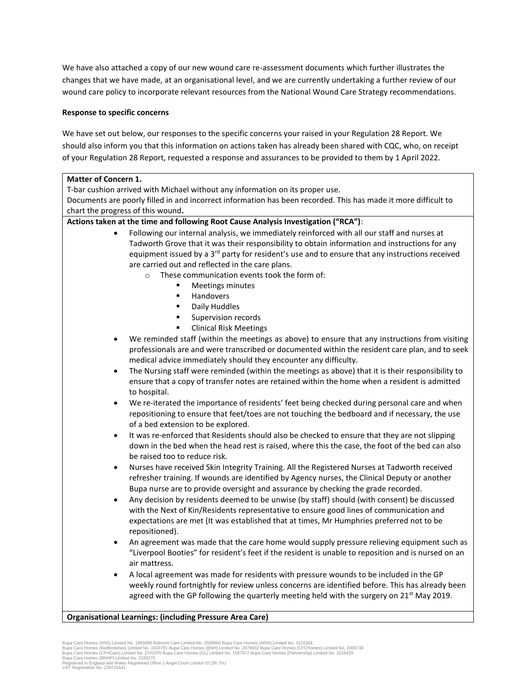We have also attached a copy of our new wound care re-assessment documents which further illustrates the changes that we have made, at an organisational level, and we are currently undertaking a further review of our wound care policy to incorporate relevant resources from the National Wound Care Strategy recommendations.

# **Response to specific concerns**

We have set out below, our responses to the specific concerns your raised in your Regulation 28 Report. We should also inform you that this information on actions taken has already been shared with CQC, who, on receipt of your Regulation 28 Report, requested a response and assurances to be provided to them by 1 April 2022.

| <b>Matter of Concern 1.</b>                                                                                                                                                                         |  |  |
|-----------------------------------------------------------------------------------------------------------------------------------------------------------------------------------------------------|--|--|
| T-bar cushion arrived with Michael without any information on its proper use.                                                                                                                       |  |  |
| Documents are poorly filled in and incorrect information has been recorded. This has made it more difficult to                                                                                      |  |  |
| chart the progress of this wound.                                                                                                                                                                   |  |  |
| Actions taken at the time and following Root Cause Analysis Investigation ("RCA"):                                                                                                                  |  |  |
| Following our internal analysis, we immediately reinforced with all our staff and nurses at<br>$\bullet$                                                                                            |  |  |
| Tadworth Grove that it was their responsibility to obtain information and instructions for any                                                                                                      |  |  |
| equipment issued by a 3 <sup>rd</sup> party for resident's use and to ensure that any instructions received                                                                                         |  |  |
| are carried out and reflected in the care plans.                                                                                                                                                    |  |  |
| These communication events took the form of:<br>$\circ$                                                                                                                                             |  |  |
| Meetings minutes<br>Handovers<br>٠                                                                                                                                                                  |  |  |
| Daily Huddles<br>٠                                                                                                                                                                                  |  |  |
| Supervision records                                                                                                                                                                                 |  |  |
| <b>Clinical Risk Meetings</b><br>٠                                                                                                                                                                  |  |  |
| We reminded staff (within the meetings as above) to ensure that any instructions from visiting                                                                                                      |  |  |
| professionals are and were transcribed or documented within the resident care plan, and to seek                                                                                                     |  |  |
| medical advice immediately should they encounter any difficulty.                                                                                                                                    |  |  |
| The Nursing staff were reminded (within the meetings as above) that it is their responsibility to<br>$\bullet$                                                                                      |  |  |
| ensure that a copy of transfer notes are retained within the home when a resident is admitted                                                                                                       |  |  |
| to hospital.                                                                                                                                                                                        |  |  |
| We re-iterated the importance of residents' feet being checked during personal care and when<br>$\bullet$                                                                                           |  |  |
| repositioning to ensure that feet/toes are not touching the bedboard and if necessary, the use                                                                                                      |  |  |
| of a bed extension to be explored.                                                                                                                                                                  |  |  |
| It was re-enforced that Residents should also be checked to ensure that they are not slipping<br>$\bullet$                                                                                          |  |  |
| down in the bed when the head rest is raised, where this the case, the foot of the bed can also                                                                                                     |  |  |
| be raised too to reduce risk.                                                                                                                                                                       |  |  |
| Nurses have received Skin Integrity Training. All the Registered Nurses at Tadworth received<br>$\bullet$                                                                                           |  |  |
| refresher training. If wounds are identified by Agency nurses, the Clinical Deputy or another                                                                                                       |  |  |
| Bupa nurse are to provide oversight and assurance by checking the grade recorded.                                                                                                                   |  |  |
| Any decision by residents deemed to be unwise (by staff) should (with consent) be discussed<br>$\bullet$<br>with the Next of Kin/Residents representative to ensure good lines of communication and |  |  |
| expectations are met (It was established that at times, Mr Humphries preferred not to be                                                                                                            |  |  |
| repositioned).                                                                                                                                                                                      |  |  |
| An agreement was made that the care home would supply pressure relieving equipment such as                                                                                                          |  |  |
| "Liverpool Booties" for resident's feet if the resident is unable to reposition and is nursed on an                                                                                                 |  |  |
| air mattress.                                                                                                                                                                                       |  |  |
| A local agreement was made for residents with pressure wounds to be included in the GP<br>$\bullet$                                                                                                 |  |  |
| weekly round fortnightly for review unless concerns are identified before. This has already been                                                                                                    |  |  |
| agreed with the GP following the quarterly meeting held with the surgery on 21 <sup>st</sup> May 2019.                                                                                              |  |  |
|                                                                                                                                                                                                     |  |  |

# **Organisational Learnings: (including Pressure Area Care)**

Bupa Care Homes (ANS) Limited No. 1960990 Belmont Care Limited No. 2509860 Bupa Care Homes (AKW) Limited No. 4122364<br>Bupa Care Homes (Bedfordshire) Limited No. 3333791 Bupa Care Homes (BNH) Limited No. 2079932 Bupa Care Ho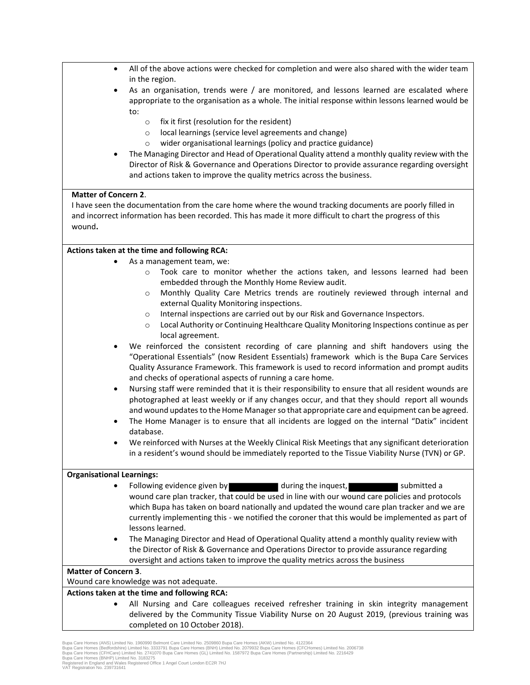| $\bullet$                              | All of the above actions were checked for completion and were also shared with the wider team                                                                                           |  |
|----------------------------------------|-----------------------------------------------------------------------------------------------------------------------------------------------------------------------------------------|--|
| ٠                                      | in the region.<br>As an organisation, trends were / are monitored, and lessons learned are escalated where                                                                              |  |
|                                        | appropriate to the organisation as a whole. The initial response within lessons learned would be                                                                                        |  |
|                                        | to:<br>fix it first (resolution for the resident)                                                                                                                                       |  |
|                                        | $\circ$<br>local learnings (service level agreements and change)<br>$\circ$                                                                                                             |  |
|                                        | wider organisational learnings (policy and practice guidance)<br>$\circ$                                                                                                                |  |
|                                        | The Managing Director and Head of Operational Quality attend a monthly quality review with the                                                                                          |  |
|                                        | Director of Risk & Governance and Operations Director to provide assurance regarding oversight                                                                                          |  |
|                                        | and actions taken to improve the quality metrics across the business.                                                                                                                   |  |
| <b>Matter of Concern 2.</b>            |                                                                                                                                                                                         |  |
|                                        | I have seen the documentation from the care home where the wound tracking documents are poorly filled in                                                                                |  |
| wound.                                 | and incorrect information has been recorded. This has made it more difficult to chart the progress of this                                                                              |  |
|                                        |                                                                                                                                                                                         |  |
|                                        | Actions taken at the time and following RCA:                                                                                                                                            |  |
|                                        | As a management team, we:<br>Took care to monitor whether the actions taken, and lessons learned had been                                                                               |  |
|                                        | $\circ$<br>embedded through the Monthly Home Review audit.                                                                                                                              |  |
|                                        | Monthly Quality Care Metrics trends are routinely reviewed through internal and<br>$\circ$                                                                                              |  |
|                                        | external Quality Monitoring inspections.                                                                                                                                                |  |
|                                        | Internal inspections are carried out by our Risk and Governance Inspectors.<br>$\circ$                                                                                                  |  |
|                                        | Local Authority or Continuing Healthcare Quality Monitoring Inspections continue as per<br>$\circ$                                                                                      |  |
|                                        | local agreement.<br>We reinforced the consistent recording of care planning and shift handovers using the                                                                               |  |
|                                        | "Operational Essentials" (now Resident Essentials) framework which is the Bupa Care Services                                                                                            |  |
|                                        | Quality Assurance Framework. This framework is used to record information and prompt audits                                                                                             |  |
|                                        | and checks of operational aspects of running a care home.                                                                                                                               |  |
| $\bullet$                              | Nursing staff were reminded that it is their responsibility to ensure that all resident wounds are                                                                                      |  |
|                                        | photographed at least weekly or if any changes occur, and that they should report all wounds                                                                                            |  |
|                                        | and wound updates to the Home Manager so that appropriate care and equipment can be agreed.                                                                                             |  |
| $\bullet$                              | The Home Manager is to ensure that all incidents are logged on the internal "Datix" incident<br>database.                                                                               |  |
|                                        | We reinforced with Nurses at the Weekly Clinical Risk Meetings that any significant deterioration                                                                                       |  |
|                                        | in a resident's wound should be immediately reported to the Tissue Viability Nurse (TVN) or GP.                                                                                         |  |
| <b>Organisational Learnings:</b>       |                                                                                                                                                                                         |  |
|                                        | during the inquest,<br>Following evidence given by<br>submitted a                                                                                                                       |  |
|                                        | wound care plan tracker, that could be used in line with our wound care policies and protocols                                                                                          |  |
|                                        | which Bupa has taken on board nationally and updated the wound care plan tracker and we are                                                                                             |  |
|                                        | currently implementing this - we notified the coroner that this would be implemented as part of                                                                                         |  |
|                                        | lessons learned.<br>The Managing Director and Head of Operational Quality attend a monthly quality review with                                                                          |  |
| ٠                                      | the Director of Risk & Governance and Operations Director to provide assurance regarding                                                                                                |  |
|                                        | oversight and actions taken to improve the quality metrics across the business                                                                                                          |  |
| <b>Matter of Concern 3.</b>            |                                                                                                                                                                                         |  |
| Wound care knowledge was not adequate. |                                                                                                                                                                                         |  |
|                                        | Actions taken at the time and following RCA:                                                                                                                                            |  |
|                                        | All Nursing and Care colleagues received refresher training in skin integrity management<br>delivered by the Community Tissue Viability Nurse on 20 August 2019, (previous training was |  |
|                                        |                                                                                                                                                                                         |  |

completed on 10 October 2018).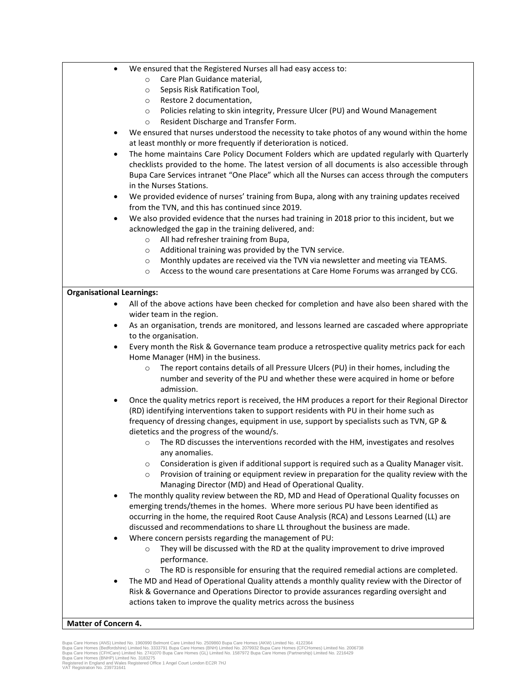|  | We ensured that the Registered Nurses all had easy access to: |
|--|---------------------------------------------------------------|
|--|---------------------------------------------------------------|

- o Care Plan Guidance material,
- o Sepsis Risk Ratification Tool,
- o Restore 2 documentation,
- o Policies relating to skin integrity, Pressure Ulcer (PU) and Wound Management
- o Resident Discharge and Transfer Form.
- We ensured that nurses understood the necessity to take photos of any wound within the home at least monthly or more frequently if deterioration is noticed.
- The home maintains Care Policy Document Folders which are updated regularly with Quarterly checklists provided to the home. The latest version of all documents is also accessible through Bupa Care Services intranet "One Place" which all the Nurses can access through the computers in the Nurses Stations.
- We provided evidence of nurses' training from Bupa, along with any training updates received from the TVN, and this has continued since 2019.
- We also provided evidence that the nurses had training in 2018 prior to this incident, but we acknowledged the gap in the training delivered, and:
	- o All had refresher training from Bupa,
	- o Additional training was provided by the TVN service.
	- o Monthly updates are received via the TVN via newsletter and meeting via TEAMS.
	- o Access to the wound care presentations at Care Home Forums was arranged by CCG.

# **Organisational Learnings:**

- All of the above actions have been checked for completion and have also been shared with the wider team in the region.
- As an organisation, trends are monitored, and lessons learned are cascaded where appropriate to the organisation.
- Every month the Risk & Governance team produce a retrospective quality metrics pack for each Home Manager (HM) in the business.
	- o The report contains details of all Pressure Ulcers (PU) in their homes, including the number and severity of the PU and whether these were acquired in home or before admission.
- Once the quality metrics report is received, the HM produces a report for their Regional Director (RD) identifying interventions taken to support residents with PU in their home such as frequency of dressing changes, equipment in use, support by specialists such as TVN, GP & dietetics and the progress of the wound/s.
	- $\circ$  The RD discusses the interventions recorded with the HM, investigates and resolves any anomalies.
	- $\circ$  Consideration is given if additional support is required such as a Quality Manager visit.
	- $\circ$  Provision of training or equipment review in preparation for the quality review with the Managing Director (MD) and Head of Operational Quality.
- The monthly quality review between the RD, MD and Head of Operational Quality focusses on emerging trends/themes in the homes. Where more serious PU have been identified as occurring in the home, the required Root Cause Analysis (RCA) and Lessons Learned (LL) are discussed and recommendations to share LL throughout the business are made.
- Where concern persists regarding the management of PU:
	- $\circ$  They will be discussed with the RD at the quality improvement to drive improved performance.
	- $\circ$  The RD is responsible for ensuring that the required remedial actions are completed.
- The MD and Head of Operational Quality attends a monthly quality review with the Director of Risk & Governance and Operations Director to provide assurances regarding oversight and actions taken to improve the quality metrics across the business

# **Matter of Concern 4.**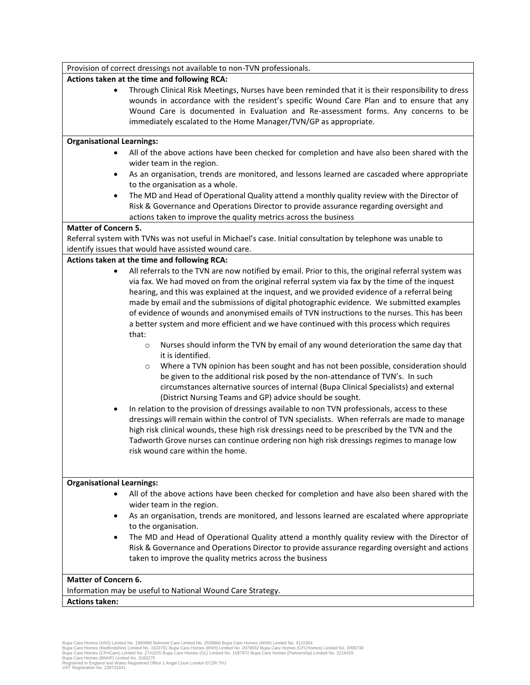| Provision of correct dressings not available to non-TVN professionals. |                                                                                                                                                                                                                                                                                                                                                          |  |  |
|------------------------------------------------------------------------|----------------------------------------------------------------------------------------------------------------------------------------------------------------------------------------------------------------------------------------------------------------------------------------------------------------------------------------------------------|--|--|
| Actions taken at the time and following RCA:                           |                                                                                                                                                                                                                                                                                                                                                          |  |  |
| $\bullet$                                                              | Through Clinical Risk Meetings, Nurses have been reminded that it is their responsibility to dress<br>wounds in accordance with the resident's specific Wound Care Plan and to ensure that any<br>Wound Care is documented in Evaluation and Re-assessment forms. Any concerns to be<br>immediately escalated to the Home Manager/TVN/GP as appropriate. |  |  |
| <b>Organisational Learnings:</b>                                       |                                                                                                                                                                                                                                                                                                                                                          |  |  |
|                                                                        | All of the above actions have been checked for completion and have also been shared with the                                                                                                                                                                                                                                                             |  |  |
|                                                                        | wider team in the region.                                                                                                                                                                                                                                                                                                                                |  |  |
| $\bullet$                                                              | As an organisation, trends are monitored, and lessons learned are cascaded where appropriate                                                                                                                                                                                                                                                             |  |  |
|                                                                        | to the organisation as a whole.                                                                                                                                                                                                                                                                                                                          |  |  |
| $\bullet$                                                              | The MD and Head of Operational Quality attend a monthly quality review with the Director of                                                                                                                                                                                                                                                              |  |  |
|                                                                        | Risk & Governance and Operations Director to provide assurance regarding oversight and                                                                                                                                                                                                                                                                   |  |  |
|                                                                        | actions taken to improve the quality metrics across the business                                                                                                                                                                                                                                                                                         |  |  |
| <b>Matter of Concern 5.</b>                                            |                                                                                                                                                                                                                                                                                                                                                          |  |  |
|                                                                        | Referral system with TVNs was not useful in Michael's case. Initial consultation by telephone was unable to                                                                                                                                                                                                                                              |  |  |
|                                                                        | identify issues that would have assisted wound care.                                                                                                                                                                                                                                                                                                     |  |  |
|                                                                        | Actions taken at the time and following RCA:                                                                                                                                                                                                                                                                                                             |  |  |
|                                                                        | All referrals to the TVN are now notified by email. Prior to this, the original referral system was                                                                                                                                                                                                                                                      |  |  |
|                                                                        | via fax. We had moved on from the original referral system via fax by the time of the inquest                                                                                                                                                                                                                                                            |  |  |
|                                                                        | hearing, and this was explained at the inquest, and we provided evidence of a referral being<br>made by email and the submissions of digital photographic evidence. We submitted examples                                                                                                                                                                |  |  |
|                                                                        | of evidence of wounds and anonymised emails of TVN instructions to the nurses. This has been                                                                                                                                                                                                                                                             |  |  |
|                                                                        | a better system and more efficient and we have continued with this process which requires                                                                                                                                                                                                                                                                |  |  |
|                                                                        | that:                                                                                                                                                                                                                                                                                                                                                    |  |  |
|                                                                        | Nurses should inform the TVN by email of any wound deterioration the same day that<br>$\circ$                                                                                                                                                                                                                                                            |  |  |
|                                                                        | it is identified.                                                                                                                                                                                                                                                                                                                                        |  |  |
|                                                                        | Where a TVN opinion has been sought and has not been possible, consideration should<br>$\circ$                                                                                                                                                                                                                                                           |  |  |
|                                                                        | be given to the additional risk posed by the non-attendance of TVN's. In such                                                                                                                                                                                                                                                                            |  |  |
|                                                                        | circumstances alternative sources of internal (Bupa Clinical Specialists) and external                                                                                                                                                                                                                                                                   |  |  |
|                                                                        | (District Nursing Teams and GP) advice should be sought.                                                                                                                                                                                                                                                                                                 |  |  |
|                                                                        | In relation to the provision of dressings available to non TVN professionals, access to these                                                                                                                                                                                                                                                            |  |  |
|                                                                        | dressings will remain within the control of TVN specialists. When referrals are made to manage                                                                                                                                                                                                                                                           |  |  |
|                                                                        | high risk clinical wounds, these high risk dressings need to be prescribed by the TVN and the                                                                                                                                                                                                                                                            |  |  |
|                                                                        | Tadworth Grove nurses can continue ordering non high risk dressings regimes to manage low<br>risk wound care within the home.                                                                                                                                                                                                                            |  |  |
|                                                                        |                                                                                                                                                                                                                                                                                                                                                          |  |  |
|                                                                        |                                                                                                                                                                                                                                                                                                                                                          |  |  |
| <b>Organisational Learnings:</b>                                       |                                                                                                                                                                                                                                                                                                                                                          |  |  |
|                                                                        | All of the above actions have been checked for completion and have also been shared with the                                                                                                                                                                                                                                                             |  |  |
|                                                                        | wider team in the region.                                                                                                                                                                                                                                                                                                                                |  |  |
|                                                                        | As an organisation, trends are monitored, and lessons learned are escalated where appropriate                                                                                                                                                                                                                                                            |  |  |
|                                                                        | to the organisation.                                                                                                                                                                                                                                                                                                                                     |  |  |
| $\bullet$                                                              | The MD and Head of Operational Quality attend a monthly quality review with the Director of                                                                                                                                                                                                                                                              |  |  |
|                                                                        | Risk & Governance and Operations Director to provide assurance regarding oversight and actions                                                                                                                                                                                                                                                           |  |  |
|                                                                        | taken to improve the quality metrics across the business                                                                                                                                                                                                                                                                                                 |  |  |
|                                                                        |                                                                                                                                                                                                                                                                                                                                                          |  |  |
| <b>Matter of Concern 6.</b>                                            |                                                                                                                                                                                                                                                                                                                                                          |  |  |
|                                                                        | Information may be useful to National Wound Care Strategy.                                                                                                                                                                                                                                                                                               |  |  |
| <b>Actions taken:</b>                                                  |                                                                                                                                                                                                                                                                                                                                                          |  |  |